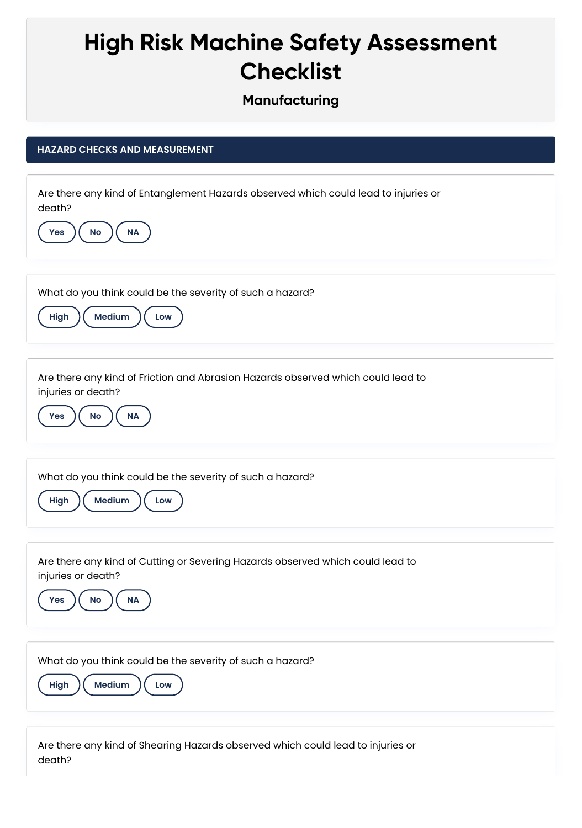## **High Risk Machine Safety Assessment Checklist**

## **Manufacturing**

## **HAZARD CHECKS AND MEASUREMENT**

| Are there any kind of Entanglement Hazards observed which could lead to injuries or<br>death?<br>No<br><b>NA</b><br>Yes                 |
|-----------------------------------------------------------------------------------------------------------------------------------------|
| What do you think could be the severity of such a hazard?<br>Medium<br>High<br>Low                                                      |
| Are there any kind of Friction and Abrasion Hazards observed which could lead to<br>injuries or death?<br><b>No</b><br><b>NA</b><br>Yes |
| What do you think could be the severity of such a hazard?<br>Medium<br>High<br>Low                                                      |
| Are there any kind of Cutting or Severing Hazards observed which could lead to<br>injuries or death?<br>No<br><b>Yes</b><br><b>NA</b>   |
| What do you think could be the severity of such a hazard?<br>Medium<br>High<br>Low                                                      |

Are there any kind of Shearing Hazards observed which could lead to injuries or death?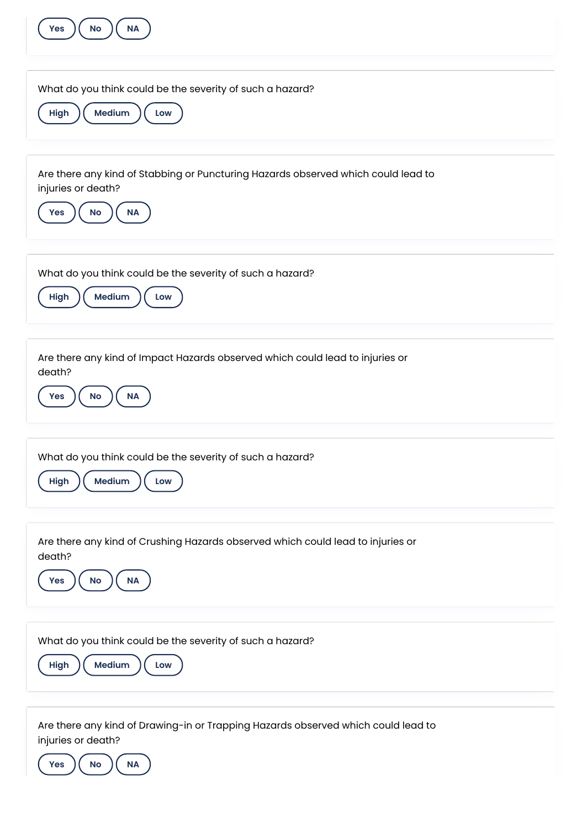| $\sf NA$<br><b>Yes</b><br><b>No</b>                                                                                               |
|-----------------------------------------------------------------------------------------------------------------------------------|
| What do you think could be the severity of such a hazard?<br>Medium<br>High<br>Low                                                |
| Are there any kind of Stabbing or Puncturing Hazards observed which could lead to<br>injuries or death?<br>No<br>$\sf NA$<br>Yes  |
| What do you think could be the severity of such a hazard?<br>Medium<br>High<br>Low                                                |
| Are there any kind of Impact Hazards observed which could lead to injuries or<br>death?<br><b>No</b><br><b>NA</b><br>Yes          |
| What do you think could be the severity of such a hazard?<br>Medium<br>High<br>Low                                                |
| Are there any kind of Crushing Hazards observed which could lead to injuries or<br>death?<br><b>NA</b><br>Yes<br>No               |
| What do you think could be the severity of such a hazard?<br>Medium<br>High<br>Low                                                |
| Are there any kind of Drawing-in or Trapping Hazards observed which could lead to<br>injuries or death?<br>No<br><b>NA</b><br>Yes |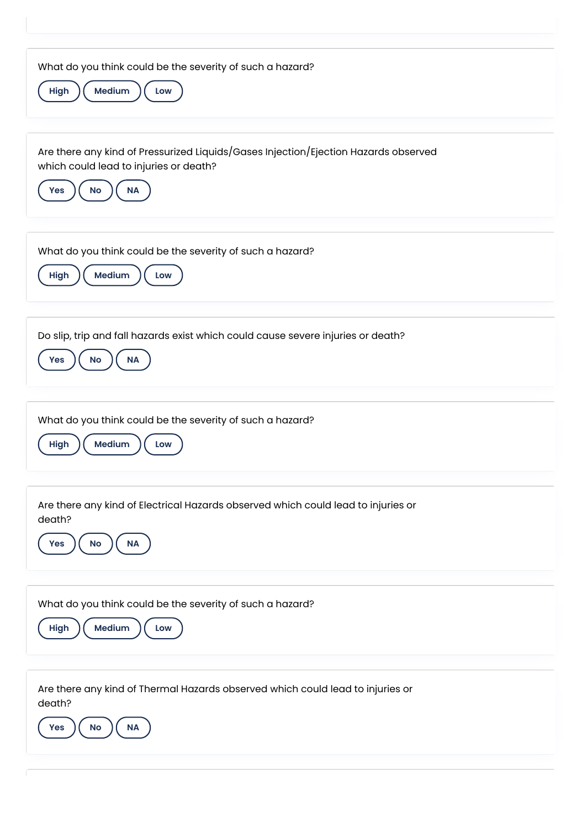| What do you think could be the severity of such a hazard?<br>Medium<br>High<br>Low                                                                             |
|----------------------------------------------------------------------------------------------------------------------------------------------------------------|
| Are there any kind of Pressurized Liquids/Gases Injection/Ejection Hazards observed<br>which could lead to injuries or death?<br><b>No</b><br>Yes<br><b>NA</b> |
| What do you think could be the severity of such a hazard?<br>Medium<br>High<br>Low                                                                             |
| Do slip, trip and fall hazards exist which could cause severe injuries or death?<br>$\sf NA$<br>No<br>Yes                                                      |
| What do you think could be the severity of such a hazard?<br>Medium<br>High<br>Low                                                                             |
| Are there any kind of Electrical Hazards observed which could lead to injuries or<br>death?<br><b>NA</b><br>$\mathsf{No}$<br><b>Yes</b>                        |
| What do you think could be the severity of such a hazard?<br>Medium<br>High<br>Low                                                                             |
| Are there any kind of Thermal Hazards observed which could lead to injuries or<br>death?<br>$\sf NA$<br><b>No</b><br><b>Yes</b>                                |